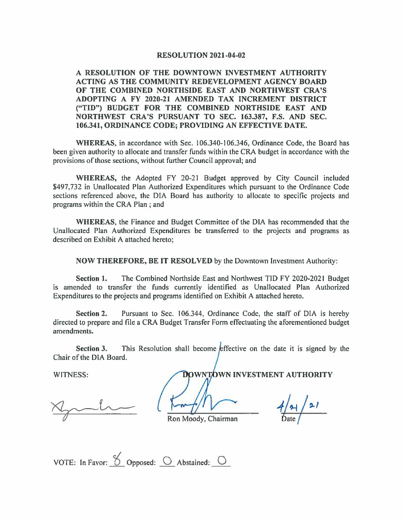## **RESOLUTION 2021-04-02**

**A RESOLUTION OF THE DOWNTOWN INVESTMENT AUTHORITY ACTING AS THE COMMUNITY REDEVELOPMENT AGENCY BOARD OF THE COMBINED NORTHSIDE EAST AND NORTHWEST CRA 'S ADOPTING A FY 2020-21 AMENDED TAX INCREMENT DISTRICT ("TID") BUDGET FOR THE COMBINED NORTHSIDE EAST AND NORTHWEST CRA'S PURSUANT TO SEC. 163.387, F.S. AND SEC. 106.341, ORDINANCE CODE; PROVIDING AN EFFECTIVE DATE.** 

**WHEREAS,** in accordance with Sec. I 06.340-106.346, Ordinance Code, the Board has been given authority to allocate and transfer funds within the CRA budget in accordance with the provisions of those sections, without further Council approval; and

**WHEREAS,** the Adopted FY 20-21 Budget approved by City Council included \$497,732 in Unallocated Plan Authorized Expenditures which pursuant to the Ordinance Code sections referenced above, the DIA Board has authority to allocate to specific projects and programs within the CRA Plan ; and

**WHEREAS,** the Finance and Budget Committee of the DIA has recommended that the Unallocated Plan Authorized Expenditures be transferred to the projects and programs as described on Exhibit A attached hereto;

**NOW THEREFORE, BE IT RESOLVED** by the Downtown Investment Authority:

**Section 1.** The Combined Northside East and Northwest TID FY 2020-2021 Budget is amended to transfer the funds currently identified as Unallocated Plan Authorized Expenditures to the projects and programs identified on Exhibit A attached hereto.

**Section 2.** Pursuant to Sec. 106.344, Ordinance Code, the staff of DIA is hereby directed to prepare and file a CRA Budget Transfer Form effectuating the aforementioned budget amendments.

**Section 3.** This Resolution shall become effective on the date it is signed by the Chair of the DIA Board.

WITNESS: **WITNESS: WITNESS: WITNESS: WITNESS: WITNESS: WITNESS: WITNESS: WITNESS: WITNESS: WITNESS: WITNESS: WITNESS: WITNESS: WITNESS: WITNESS: WITNESS: WITNESS: WITHERMITNESS: WITHERMI** 

 $\frac{1}{\pi}$ <br>Ron Moody, Chairman  $\frac{4}{\pi}$ 

 $4/4/21$ 

VOTE: In Favor:  $\frac{8}{2}$  Opposed:  $\frac{1}{2}$  Abstained:  $\frac{1}{2}$